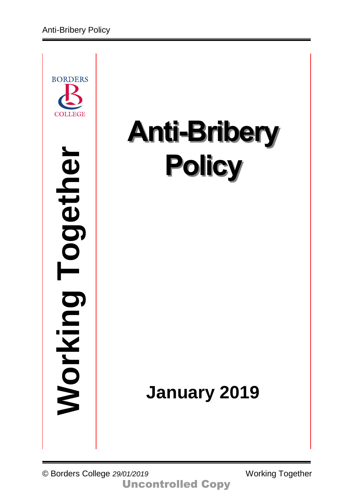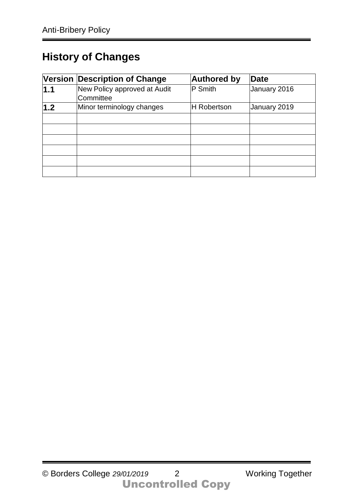# **History of Changes**

|     | Version Description of Change             | <b>Authored by</b> | <b>Date</b>  |
|-----|-------------------------------------------|--------------------|--------------|
| 1.1 | New Policy approved at Audit<br>Committee | P Smith            | January 2016 |
| 1.2 | Minor terminology changes                 | <b>H</b> Robertson | January 2019 |
|     |                                           |                    |              |
|     |                                           |                    |              |
|     |                                           |                    |              |
|     |                                           |                    |              |
|     |                                           |                    |              |
|     |                                           |                    |              |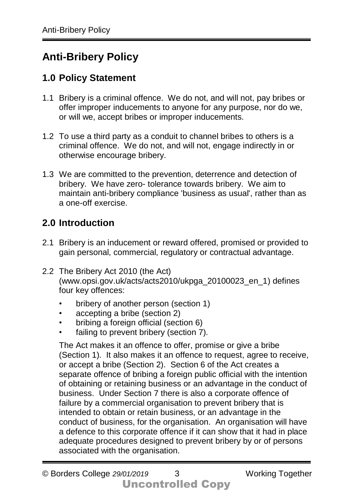# **Anti-Bribery Policy**

## **1.0 Policy Statement**

- 1.1 Bribery is a criminal offence. We do not, and will not, pay bribes or offer improper inducements to anyone for any purpose, nor do we, or will we, accept bribes or improper inducements.
- 1.2 To use a third party as a conduit to channel bribes to others is a criminal offence. We do not, and will not, engage indirectly in or otherwise encourage bribery.
- 1.3 We are committed to the prevention, deterrence and detection of bribery. We have zero- tolerance towards bribery. We aim to maintain anti-bribery compliance 'business as usual', rather than as a one-off exercise.

## **2.0 Introduction**

- 2.1 Bribery is an inducement or reward offered, promised or provided to gain personal, commercial, regulatory or contractual advantage.
- 2.2 The Bribery Act 2010 (the Act) (www.opsi.gov.uk/acts/acts2010/ukpga\_20100023\_en\_1) defines four key offences:
	- bribery of another person (section 1)
	- accepting a bribe (section 2)
	- bribing a foreign official (section 6)
	- failing to prevent bribery (section 7).

The Act makes it an offence to offer, promise or give a bribe (Section 1). It also makes it an offence to request, agree to receive, or accept a bribe (Section 2). Section 6 of the Act creates a separate offence of bribing a foreign public official with the intention of obtaining or retaining business or an advantage in the conduct of business. Under Section 7 there is also a corporate offence of failure by a commercial organisation to prevent bribery that is intended to obtain or retain business, or an advantage in the conduct of business, for the organisation. An organisation will have a defence to this corporate offence if it can show that it had in place adequate procedures designed to prevent bribery by or of persons associated with the organisation.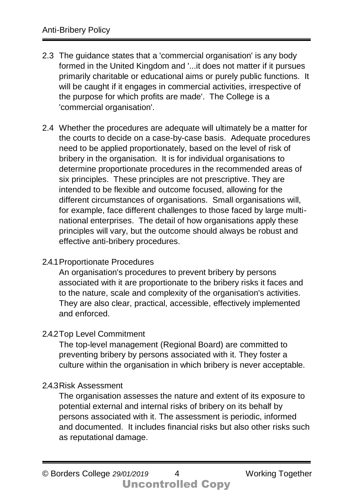- 2.3 The guidance states that a 'commercial organisation' is any body formed in the United Kingdom and '...it does not matter if it pursues primarily charitable or educational aims or purely public functions. It will be caught if it engages in commercial activities, irrespective of the purpose for which profits are made'. The College is a 'commercial organisation'.
- 2.4 Whether the procedures are adequate will ultimately be a matter for the courts to decide on a case-by-case basis. Adequate procedures need to be applied proportionately, based on the level of risk of bribery in the organisation. It is for individual organisations to determine proportionate procedures in the recommended areas of six principles. These principles are not prescriptive. They are intended to be flexible and outcome focused, allowing for the different circumstances of organisations. Small organisations will, for example, face different challenges to those faced by large multinational enterprises. The detail of how organisations apply these principles will vary, but the outcome should always be robust and effective anti-bribery procedures.

### 2.4.1Proportionate Procedures

An organisation's procedures to prevent bribery by persons associated with it are proportionate to the bribery risks it faces and to the nature, scale and complexity of the organisation's activities. They are also clear, practical, accessible, effectively implemented and enforced.

### 2.4.2Top Level Commitment

The top-level management (Regional Board) are committed to preventing bribery by persons associated with it. They foster a culture within the organisation in which bribery is never acceptable.

### 2.4.3Risk Assessment

The organisation assesses the nature and extent of its exposure to potential external and internal risks of bribery on its behalf by persons associated with it. The assessment is periodic, informed and documented. It includes financial risks but also other risks such as reputational damage.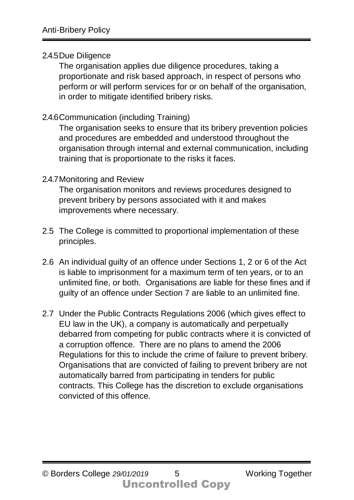### 2.4.5Due Diligence

The organisation applies due diligence procedures, taking a proportionate and risk based approach, in respect of persons who perform or will perform services for or on behalf of the organisation, in order to mitigate identified bribery risks.

### 2.4.6Communication (including Training)

The organisation seeks to ensure that its bribery prevention policies and procedures are embedded and understood throughout the organisation through internal and external communication, including training that is proportionate to the risks it faces.

### 2.4.7Monitoring and Review

The organisation monitors and reviews procedures designed to prevent bribery by persons associated with it and makes improvements where necessary.

- 2.5 The College is committed to proportional implementation of these principles.
- 2.6 An individual guilty of an offence under Sections 1, 2 or 6 of the Act is liable to imprisonment for a maximum term of ten years, or to an unlimited fine, or both. Organisations are liable for these fines and if guilty of an offence under Section 7 are liable to an unlimited fine.
- 2.7 Under the Public Contracts Regulations 2006 (which gives effect to EU law in the UK), a company is automatically and perpetually debarred from competing for public contracts where it is convicted of a corruption offence. There are no plans to amend the 2006 Regulations for this to include the crime of failure to prevent bribery. Organisations that are convicted of failing to prevent bribery are not automatically barred from participating in tenders for public contracts. This College has the discretion to exclude organisations convicted of this offence.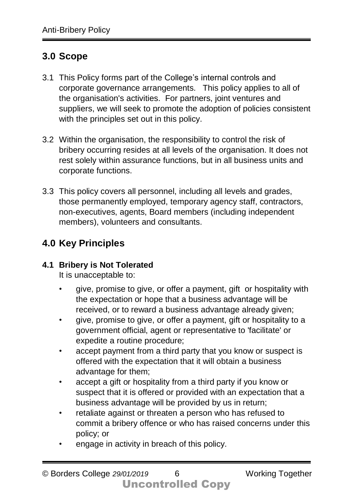## **3.0 Scope**

- 3.1 This Policy forms part of the College's internal controls and corporate governance arrangements. This policy applies to all of the organisation's activities. For partners, joint ventures and suppliers, we will seek to promote the adoption of policies consistent with the principles set out in this policy.
- 3.2 Within the organisation, the responsibility to control the risk of bribery occurring resides at all levels of the organisation. It does not rest solely within assurance functions, but in all business units and corporate functions.
- 3.3 This policy covers all personnel, including all levels and grades, those permanently employed, temporary agency staff, contractors, non-executives, agents, Board members (including independent members), volunteers and consultants.

## **4.0 Key Principles**

## **4.1 Bribery is Not Tolerated**

It is unacceptable to:

- give, promise to give, or offer a payment, gift or hospitality with the expectation or hope that a business advantage will be received, or to reward a business advantage already given;
- give, promise to give, or offer a payment, gift or hospitality to a government official, agent or representative to 'facilitate' or expedite a routine procedure;
- accept payment from a third party that you know or suspect is offered with the expectation that it will obtain a business advantage for them;
- accept a gift or hospitality from a third party if you know or suspect that it is offered or provided with an expectation that a business advantage will be provided by us in return;
- retaliate against or threaten a person who has refused to commit a bribery offence or who has raised concerns under this policy; or
- engage in activity in breach of this policy.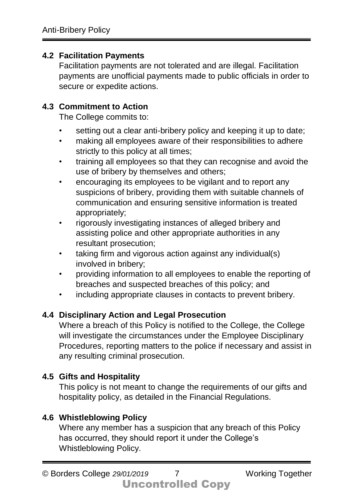### **4.2 Facilitation Payments**

Facilitation payments are not tolerated and are illegal. Facilitation payments are unofficial payments made to public officials in order to secure or expedite actions.

## **4.3 Commitment to Action**

The College commits to:

- setting out a clear anti-bribery policy and keeping it up to date;
- making all employees aware of their responsibilities to adhere strictly to this policy at all times;
- training all employees so that they can recognise and avoid the use of bribery by themselves and others;
- encouraging its employees to be vigilant and to report any suspicions of bribery, providing them with suitable channels of communication and ensuring sensitive information is treated appropriately;
- rigorously investigating instances of alleged bribery and assisting police and other appropriate authorities in any resultant prosecution;
- taking firm and vigorous action against any individual(s) involved in bribery;
- providing information to all employees to enable the reporting of breaches and suspected breaches of this policy; and
- including appropriate clauses in contacts to prevent bribery.

## **4.4 Disciplinary Action and Legal Prosecution**

Where a breach of this Policy is notified to the College, the College will investigate the circumstances under the Employee Disciplinary Procedures, reporting matters to the police if necessary and assist in any resulting criminal prosecution.

## **4.5 Gifts and Hospitality**

This policy is not meant to change the requirements of our gifts and hospitality policy, as detailed in the Financial Regulations.

## **4.6 Whistleblowing Policy**

Where any member has a suspicion that any breach of this Policy has occurred, they should report it under the College's Whistleblowing Policy.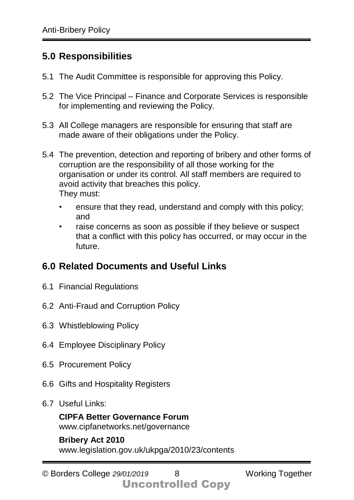## **5.0 Responsibilities**

- 5.1 The Audit Committee is responsible for approving this Policy.
- 5.2 The Vice Principal Finance and Corporate Services is responsible for implementing and reviewing the Policy.
- 5.3 All College managers are responsible for ensuring that staff are made aware of their obligations under the Policy.
- 5.4 The prevention, detection and reporting of bribery and other forms of corruption are the responsibility of all those working for the organisation or under its control. All staff members are required to avoid activity that breaches this policy. They must:
	- ensure that they read, understand and comply with this policy; and
	- raise concerns as soon as possible if they believe or suspect that a conflict with this policy has occurred, or may occur in the future.

## **6.0 Related Documents and Useful Links**

- 6.1 Financial Regulations
- 6.2 Anti-Fraud and Corruption Policy
- 6.3 Whistleblowing Policy
- 6.4 Employee Disciplinary Policy
- 6.5 Procurement Policy
- 6.6 Gifts and Hospitality Registers
- 6.7 Useful Links:

**CIPFA Better Governance Forum** www.cipfanetworks.net/governance

**Bribery Act 2010** www.legislation.gov.uk/ukpga/2010/23/contents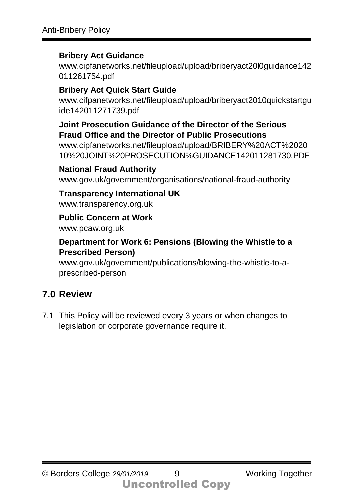### **Bribery Act Guidance**

www.cipfanetworks.net/fileupload/upload/briberyact20l0guidance142 011261754.pdf

## **Bribery Act Quick Start Guide**

www.cifpanetworks.net/fileupload/upload/briberyact2010quickstartgu ide142011271739.pdf

### **Joint Prosecution Guidance of the Director of the Serious Fraud Office and the Director of Public Prosecutions**

www.cipfanetworks.net/fileupload/upload/BRIBERY%20ACT%2020 10%20JOINT%20PROSECUTION%GUIDANCE142011281730.PDF

### **National Fraud Authority**

www.gov.uk/government/organisations/national-fraud-authority

### **Transparency International UK**

www.transparency.org.uk

#### **Public Concern at Work**

www.pcaw.org.uk

### **Department for Work 6: Pensions (Blowing the Whistle to a Prescribed Person)**

www.gov.uk/government/publications/blowing-the-whistle-to-aprescribed-person

## **7.0 Review**

7.1 This Policy will be reviewed every 3 years or when changes to legislation or corporate governance require it.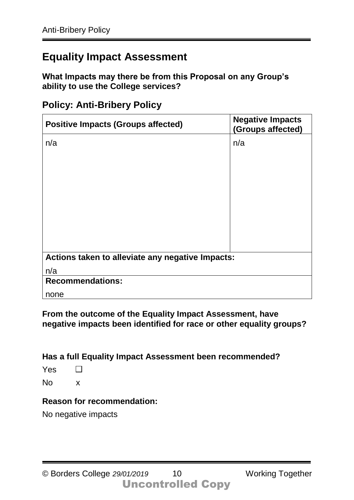## **Equality Impact Assessment**

**What Impacts may there be from this Proposal on any Group's ability to use the College services?** 

| <b>Policy: Anti-Bribery Policy</b> |
|------------------------------------|
|------------------------------------|

| <b>Positive Impacts (Groups affected)</b>        | <b>Negative Impacts</b><br>(Groups affected) |  |  |  |
|--------------------------------------------------|----------------------------------------------|--|--|--|
| n/a                                              | n/a                                          |  |  |  |
|                                                  |                                              |  |  |  |
|                                                  |                                              |  |  |  |
|                                                  |                                              |  |  |  |
|                                                  |                                              |  |  |  |
|                                                  |                                              |  |  |  |
|                                                  |                                              |  |  |  |
|                                                  |                                              |  |  |  |
| Actions taken to alleviate any negative Impacts: |                                              |  |  |  |
|                                                  |                                              |  |  |  |
| n/a                                              |                                              |  |  |  |
| <b>Recommendations:</b>                          |                                              |  |  |  |
| none                                             |                                              |  |  |  |

**From the outcome of the Equality Impact Assessment, have negative impacts been identified for race or other equality groups?** 

**Has a full Equality Impact Assessment been recommended?** 

Yes  $\Box$ 

No x

#### **Reason for recommendation:**

No negative impacts